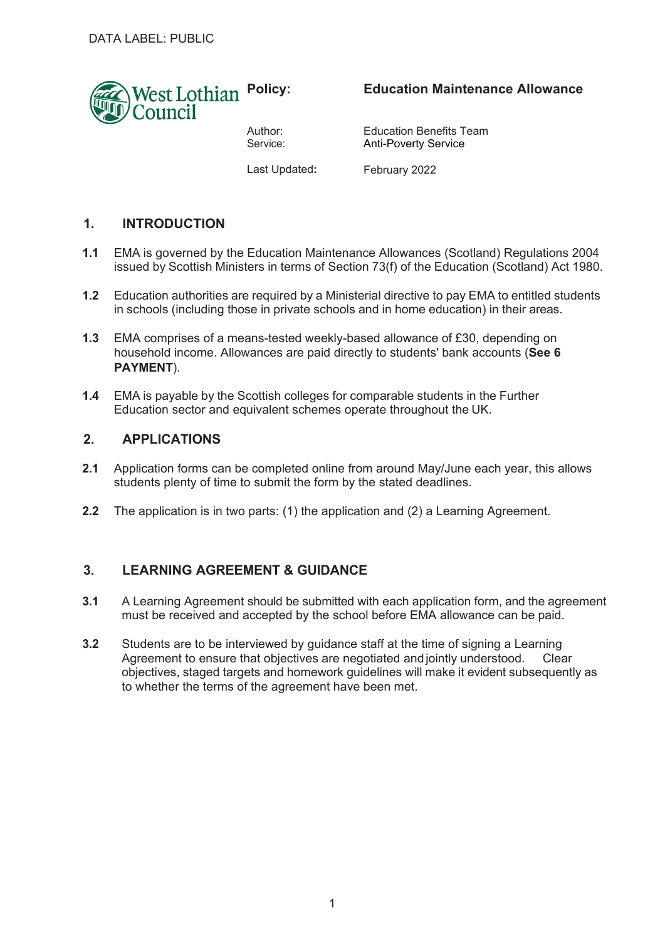

Author: Service:

# **Education Maintenance Allowance**

Education Benefits Team Anti-Poverty Service

Last Updated**:**

February 2022

# **1. INTRODUCTION**

- **1.1** EMA is governed by the Education Maintenance Allowances (Scotland) Regulations 2004 issued by Scottish Ministers in terms of Section 73(f) of the Education (Scotland) Act 1980.
- **1.2** Education authorities are required by a Ministerial directive to pay EMA to entitled students in schools (including those in private schools and in home education) in their areas.
- **1.3** EMA comprises of a means-tested weekly-based allowance of £30, depending on household income. Allowances are paid directly to students' bank accounts (**See 6 PAYMENT**).
- **1.4** EMA is payable by the Scottish colleges for comparable students in the Further Education sector and equivalent schemes operate throughout the UK.

### **2. APPLICATIONS**

- **2.1** Application forms can be completed online from around May/June each year, this allows students plenty of time to submit the form by the stated deadlines.
- **2.2** The application is in two parts: (1) the application and (2) a Learning Agreement.

### **3. LEARNING AGREEMENT & GUIDANCE**

- **3.1** A Learning Agreement should be submitted with each application form, and the agreement must be received and accepted by the school before EMA allowance can be paid.
- **3.2** Students are to be interviewed by guidance staff at the time of signing a Learning Agreement to ensure that objectives are negotiated and jointly understood. Clear objectives, staged targets and homework guidelines will make it evident subsequently as to whether the terms of the agreement have been met.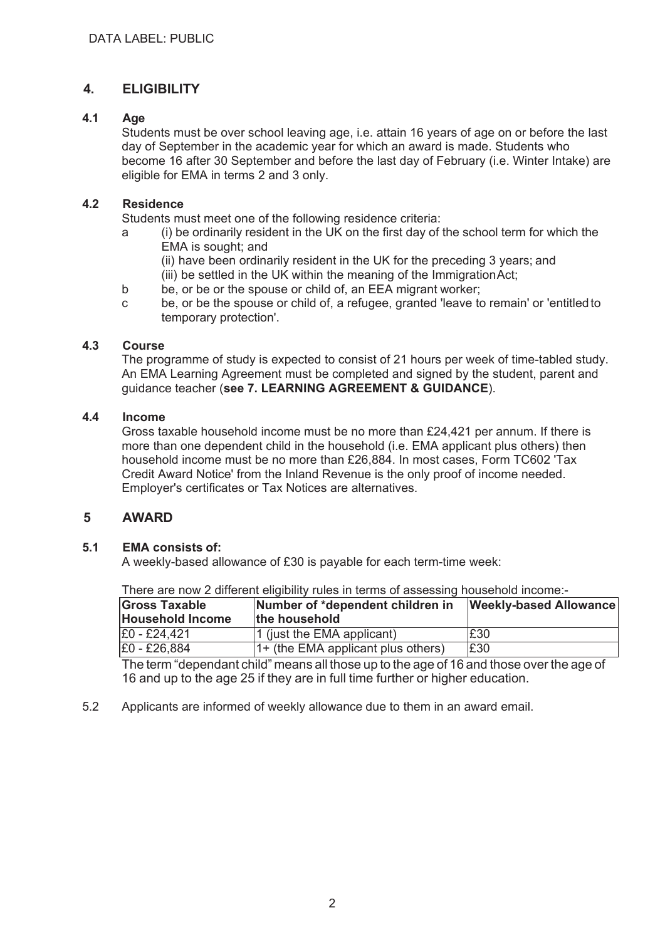# **4. ELIGIBILITY**

#### **4.1 Age**

Students must be over school leaving age, i.e. attain 16 years of age on or before the last day of September in the academic year for which an award is made. Students who become 16 after 30 September and before the last day of February (i.e. Winter Intake) are eligible for EMA in terms 2 and 3 only.

#### **4.2 Residence**

Students must meet one of the following residence criteria:

- a (i) be ordinarily resident in the UK on the first day of the school term for which the EMA is sought; and
	- (ii) have been ordinarily resident in the UK for the preceding 3 years; and
	- (iii) be settled in the UK within the meaning of the Immigration Act;
- b be, or be or the spouse or child of, an EEA migrant worker;
- c be, or be the spouse or child of, a refugee, granted 'leave to remain' or 'entitled to temporary protection'.

#### **4.3 Course**

The programme of study is expected to consist of 21 hours per week of time-tabled study. An EMA Learning Agreement must be completed and signed by the student, parent and guidance teacher (**see 7. LEARNING AGREEMENT & GUIDANCE**).

#### **4.4 Income**

Gross taxable household income must be no more than £24,421 per annum. If there is more than one dependent child in the household (i.e. EMA applicant plus others) then household income must be no more than £26,884. In most cases, Form TC602 'Tax Credit Award Notice' from the Inland Revenue is the only proof of income needed. Employer's certificates or Tax Notices are alternatives.

### **5 AWARD**

#### **5.1 EMA consists of:**

A weekly-based allowance of £30 is payable for each term-time week:

There are now 2 different eligibility rules in terms of assessing household income:-

| <b>Gross Taxable</b><br><b>Household Income</b> | Number of *dependent children in<br>the household | <b>Weekly-based Allowance</b> |
|-------------------------------------------------|---------------------------------------------------|-------------------------------|
| E0 - £24.421                                    | 1 (just the EMA applicant)                        | £30                           |
| E0 - £26,884                                    | 1+ (the EMA applicant plus others)                | £30                           |

The term "dependant child" means all those up to the age of 16 and those over the age of 16 and up to the age 25 if they are in full time further or higher education.

5.2 Applicants are informed of weekly allowance due to them in an award email.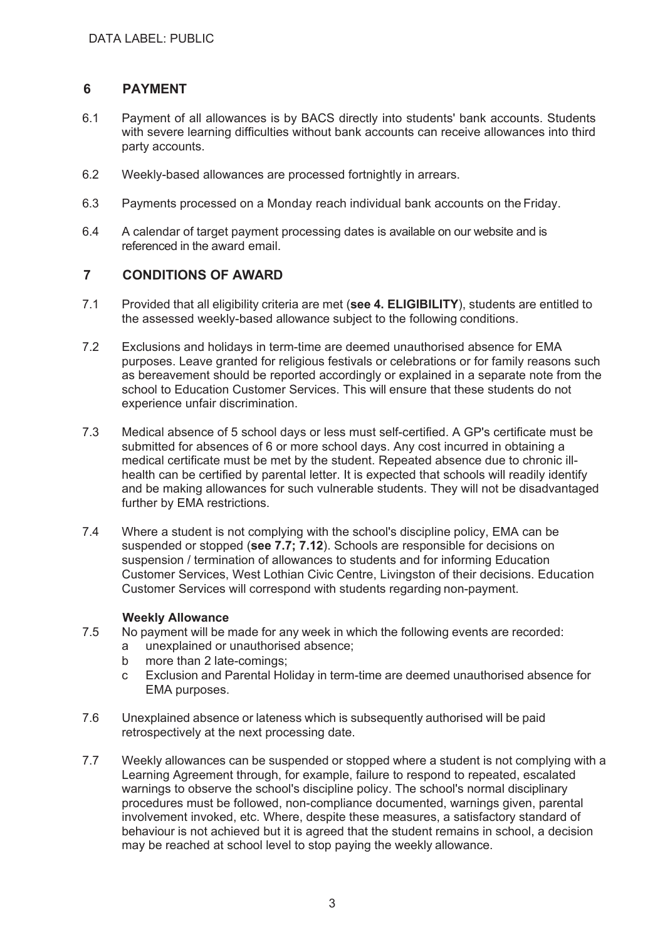## **6 PAYMENT**

- 6.1 Payment of all allowances is by BACS directly into students' bank accounts. Students with severe learning difficulties without bank accounts can receive allowances into third party accounts.
- 6.2 Weekly-based allowances are processed fortnightly in arrears.
- 6.3 Payments processed on a Monday reach individual bank accounts on the Friday.
- 6.4 A calendar of target payment processing dates is available on our website and is referenced in the award email.

### **7 CONDITIONS OF AWARD**

- 7.1 Provided that all eligibility criteria are met (**see 4. ELIGIBILITY**), students are entitled to the assessed weekly-based allowance subject to the following conditions.
- 7.2 Exclusions and holidays in term-time are deemed unauthorised absence for EMA purposes. Leave granted for religious festivals or celebrations or for family reasons such as bereavement should be reported accordingly or explained in a separate note from the school to Education Customer Services. This will ensure that these students do not experience unfair discrimination.
- 7.3 Medical absence of 5 school days or less must self-certified. A GP's certificate must be submitted for absences of 6 or more school days. Any cost incurred in obtaining a medical certificate must be met by the student. Repeated absence due to chronic illhealth can be certified by parental letter. It is expected that schools will readily identify and be making allowances for such vulnerable students. They will not be disadvantaged further by EMA restrictions.
- 7.4 Where a student is not complying with the school's discipline policy, EMA can be suspended or stopped (**see 7.7; 7.12**). Schools are responsible for decisions on suspension / termination of allowances to students and for informing Education Customer Services, West Lothian Civic Centre, Livingston of their decisions. Education Customer Services will correspond with students regarding non-payment.

#### **Weekly Allowance**

- 7.5 No payment will be made for any week in which the following events are recorded:
	- a unexplained or unauthorised absence;
	- b more than 2 late-comings;
	- c Exclusion and Parental Holiday in term-time are deemed unauthorised absence for EMA purposes.
- 7.6 Unexplained absence or lateness which is subsequently authorised will be paid retrospectively at the next processing date.
- 7.7 Weekly allowances can be suspended or stopped where a student is not complying with a Learning Agreement through, for example, failure to respond to repeated, escalated warnings to observe the school's discipline policy. The school's normal disciplinary procedures must be followed, non-compliance documented, warnings given, parental involvement invoked, etc. Where, despite these measures, a satisfactory standard of behaviour is not achieved but it is agreed that the student remains in school, a decision may be reached at school level to stop paying the weekly allowance.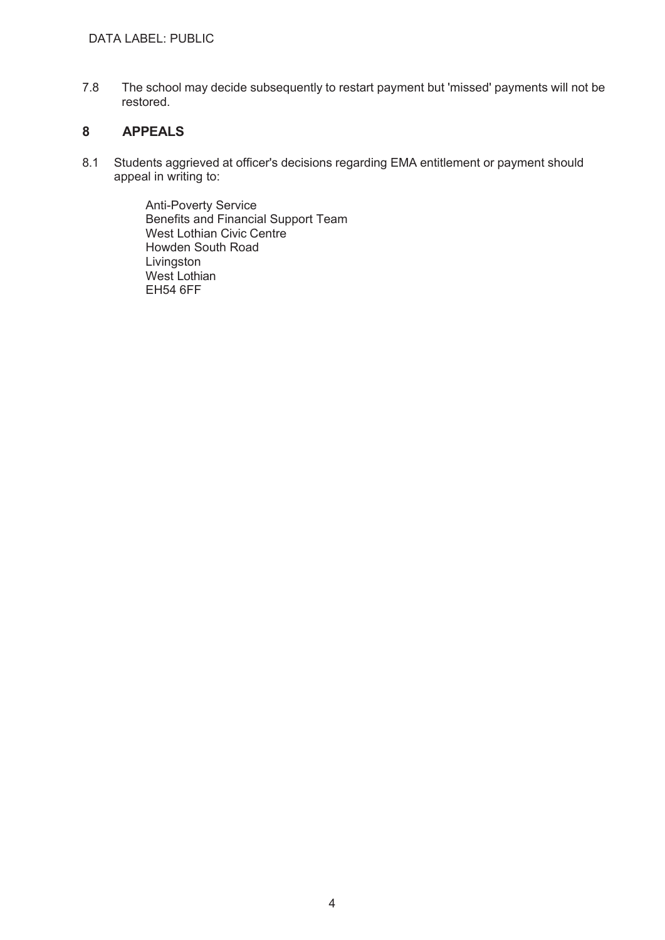7.8 The school may decide subsequently to restart payment but 'missed' payments will not be restored.

# **8 APPEALS**

8.1 Students aggrieved at officer's decisions regarding EMA entitlement or payment should appeal in writing to:

> Anti-Poverty Service Benefits and Financial Support Team West Lothian Civic Centre Howden South Road Livingston West Lothian EH54 6FF